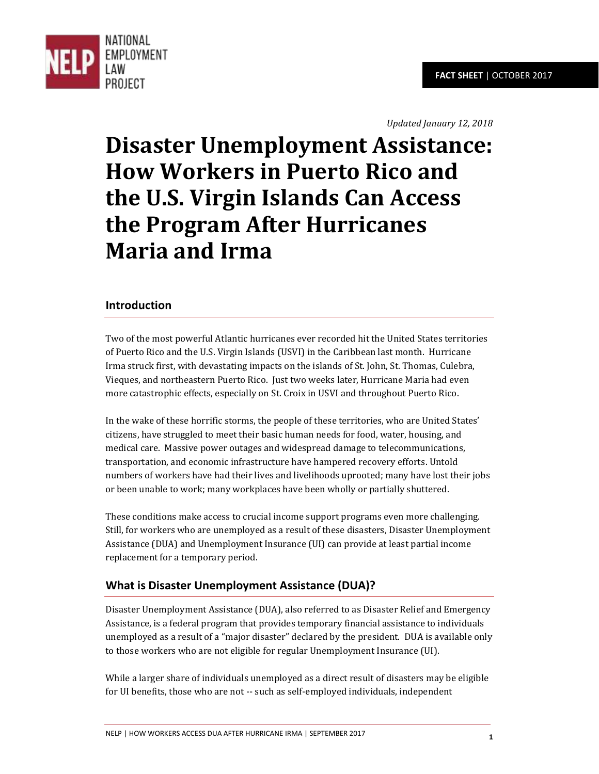

*Updated January 12, 2018* 

# **Disaster Unemployment Assistance: How Workers in Puerto Rico and the U.S. Virgin Islands Can Access the Program After Hurricanes Maria and Irma**

## **Introduction**

Two of the most powerful Atlantic hurricanes ever recorded hit the United States territories of Puerto Rico and the U.S. Virgin Islands (USVI) in the Caribbean last month. Hurricane Irma struck first, with devastating impacts on the islands of St. John, St. Thomas, Culebra, Vieques, and northeastern Puerto Rico. Just two weeks later, Hurricane Maria had even more catastrophic effects, especially on St. Croix in USVI and throughout Puerto Rico.

In the wake of these horrific storms, the people of these territories, who are United States' citizens, have struggled to meet their basic human needs for food, water, housing, and medical care. Massive power outages and widespread damage to telecommunications, transportation, and economic infrastructure have hampered recovery efforts. Untold numbers of workers have had their lives and livelihoods uprooted; many have lost their jobs or been unable to work; many workplaces have been wholly or partially shuttered.

These conditions make access to crucial income support programs even more challenging. Still, for workers who are unemployed as a result of these disasters, Disaster Unemployment Assistance (DUA) and Unemployment Insurance (UI) can provide at least partial income replacement for a temporary period.

## **What is Disaster Unemployment Assistance (DUA)?**

Disaster Unemployment Assistance (DUA), also referred to as Disaster Relief and Emergency Assistance, is a federal program that provides temporary financial assistance to individuals unemployed as a result of a "major disaster" declared by the president. DUA is available only to those workers who are not eligible for regular Unemployment Insurance (UI).

While a larger share of individuals unemployed as a direct result of disasters may be eligible for UI benefits, those who are not -- such as self-employed individuals, independent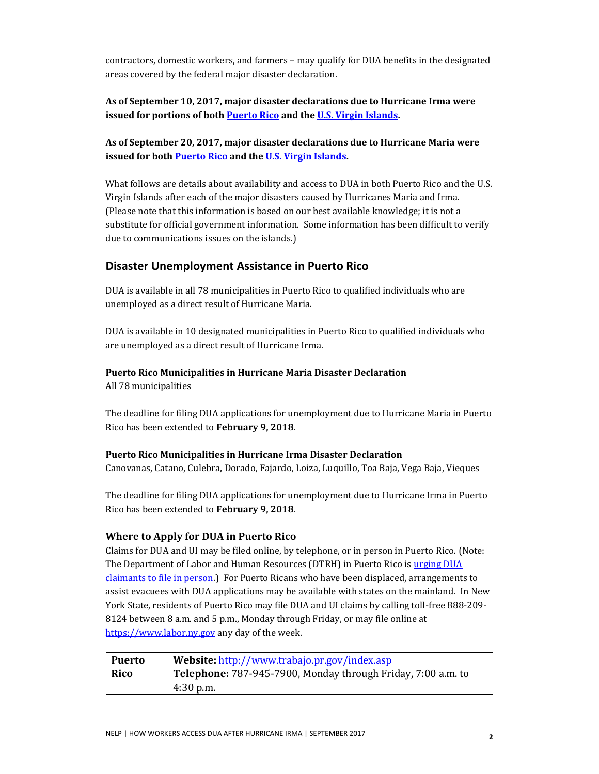contractors, domestic workers, and farmers – may qualify for DUA benefits in the designated areas covered by the federal major disaster declaration.

#### **As of September 10, 2017, major disaster declarations due to Hurricane Irma were issued for portions of bot[h Puerto Rico a](https://www.fema.gov/disaster/4336)nd th[e U.S. Virgin Islands.](https://www.fema.gov/disaster/4335)**

#### **As of September 20, 2017, major disaster declarations due to Hurricane Maria were issued for both [Puerto Rico a](https://www.fema.gov/disaster/4339)nd th[e U.S. Virgin Islands.](https://www.fema.gov/disaster/4340)**

What follows are details about availability and access to DUA in both Puerto Rico and the U.S. Virgin Islands after each of the major disasters caused by Hurricanes Maria and Irma. (Please note that this information is based on our best available knowledge; it is not a substitute for official government information. Some information has been difficult to verify due to communications issues on the islands.)

#### **Disaster Unemployment Assistance in Puerto Rico**

DUA is available in all 78 municipalities in Puerto Rico to qualified individuals who are unemployed as a direct result of Hurricane Maria.

DUA is available in 10 designated municipalities in Puerto Rico to qualified individuals who are unemployed as a direct result of Hurricane Irma.

# **Puerto Rico Municipalities in Hurricane Maria Disaster Declaration**

All 78 municipalities

The deadline for filing DUA applications for unemployment due to Hurricane Maria in Puerto Rico has been extended to **February 9, 2018**.

#### **Puerto Rico Municipalities in Hurricane Irma Disaster Declaration**

Canovanas, Catano, Culebra, Dorado, Fajardo, Loiza, Luquillo, Toa Baja, Vega Baja, Vieques

The deadline for filing DUA applications for unemployment due to Hurricane Irma in Puerto Rico has been extended to **February 9, 2018**.

#### **Where to Apply for DUA in Puerto Rico**

Claims for DUA and UI may be filed online, by telephone, or in person in Puerto Rico. (Note: The Department of Labor and Human Resources (DTRH) in Puerto Rico is urging DUA [claimants to file in person.\)](http://www.trabajo.pr.gov/det_news.asp?cnt_id=572) For Puerto Ricans who have been displaced, arrangements to assist evacuees with DUA applications may be available with states on the mainland. In New York State, residents of Puerto Rico may file DUA and UI claims by calling toll-free 888-209- 8124 between 8 a.m. and 5 p.m., Monday through Friday, or may file online at [https://www.labor.ny.gov a](https://www.labor.ny.gov/)ny day of the week.

| <b>Puerto</b> | Website: http://www.trabajo.pr.gov/index.asp                 |
|---------------|--------------------------------------------------------------|
| Rico          | Telephone: 787-945-7900, Monday through Friday, 7:00 a.m. to |
|               | $4:30$ p.m.                                                  |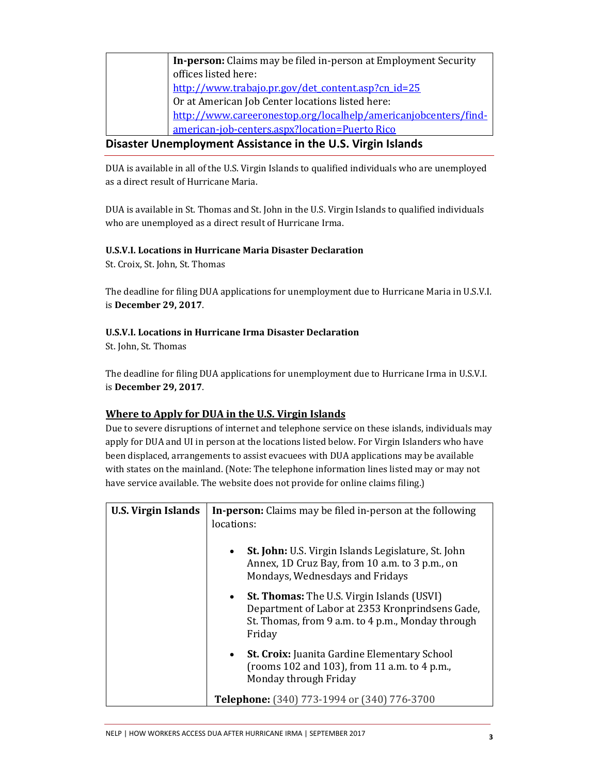| In-person: Claims may be filed in-person at Employment Security |
|-----------------------------------------------------------------|
| offices listed here:                                            |
| http://www.trabajo.pr.gov/det content.asp?cn_id=25              |
| Or at American Job Center locations listed here:                |
| http://www.careeronestop.org/localhelp/americanjobcenters/find- |
| american-job-centers.aspx?location=Puerto Rico                  |

## **Disaster Unemployment Assistance in the U.S. Virgin Islands**

DUA is available in all of the U.S. Virgin Islands to qualified individuals who are unemployed as a direct result of Hurricane Maria.

DUA is available in St. Thomas and St. John in the U.S. Virgin Islands to qualified individuals who are unemployed as a direct result of Hurricane Irma.

#### **U.S.V.I. Locations in Hurricane Maria Disaster Declaration**

St. Croix, St. John, St. Thomas

The deadline for filing DUA applications for unemployment due to Hurricane Maria in U.S.V.I. is **December 29, 2017**.

#### **U.S.V.I. Locations in Hurricane Irma Disaster Declaration**

St. John, St. Thomas

The deadline for filing DUA applications for unemployment due to Hurricane Irma in U.S.V.I. is **December 29, 2017**.

#### **Where to Apply for DUA in the U.S. Virgin Islands**

Due to severe disruptions of internet and telephone service on these islands, individuals may apply for DUA and UI in person at the locations listed below. For Virgin Islanders who have been displaced, arrangements to assist evacuees with DUA applications may be available with states on the mainland. (Note: The telephone information lines listed may or may not have service available. The website does not provide for online claims filing.)

| <b>U.S. Virgin Islands</b> | <b>In-person:</b> Claims may be filed in-person at the following<br>locations:                                                                                                   |
|----------------------------|----------------------------------------------------------------------------------------------------------------------------------------------------------------------------------|
|                            | <b>St. John:</b> U.S. Virgin Islands Legislature, St. John<br>$\bullet$<br>Annex, 1D Cruz Bay, from 10 a.m. to 3 p.m., on<br>Mondays, Wednesdays and Fridays                     |
|                            | <b>St. Thomas:</b> The U.S. Virgin Islands (USVI)<br>$\bullet$<br>Department of Labor at 2353 Kronprindsens Gade,<br>St. Thomas, from 9 a.m. to 4 p.m., Monday through<br>Friday |
|                            | <b>St. Croix:</b> Juanita Gardine Elementary School<br>$\bullet$<br>(rooms 102 and 103), from 11 a.m. to 4 p.m.,<br>Monday through Friday                                        |
|                            | Telephone: (340) 773-1994 or (340) 776-3700                                                                                                                                      |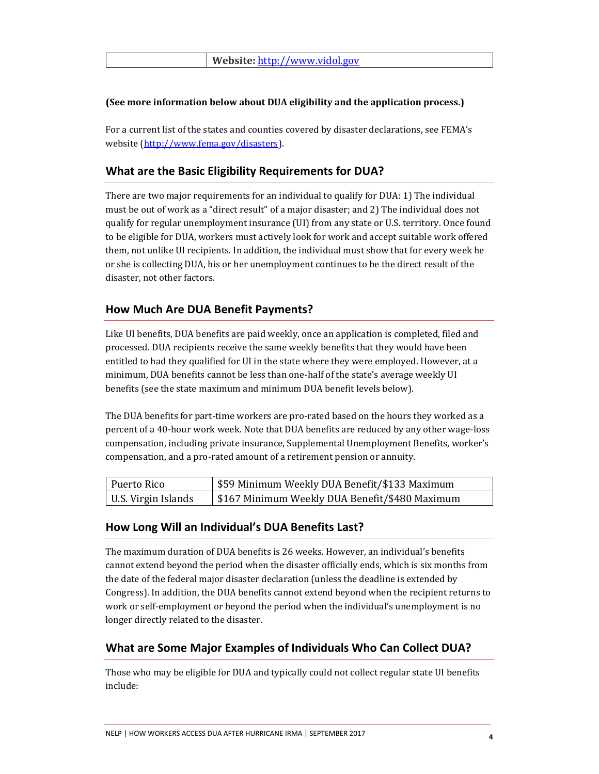#### **(See more information below about DUA eligibility and the application process.)**

For a current list of the states and counties covered by disaster declarations, see FEMA's website [\(http://www.fema.gov/disasters\)](http://www.fema.gov/disasters).

## **What are the Basic Eligibility Requirements for DUA?**

There are two major requirements for an individual to qualify for DUA: 1) The individual must be out of work as a "direct result" of a major disaster; and 2) The individual does not qualify for regular unemployment insurance (UI) from any state or U.S. territory. Once found to be eligible for DUA, workers must actively look for work and accept suitable work offered them, not unlike UI recipients. In addition, the individual must show that for every week he or she is collecting DUA, his or her unemployment continues to be the direct result of the disaster, not other factors.

## **How Much Are DUA Benefit Payments?**

Like UI benefits, DUA benefits are paid weekly, once an application is completed, filed and processed. DUA recipients receive the same weekly benefits that they would have been entitled to had they qualified for UI in the state where they were employed. However, at a minimum, DUA benefits cannot be less than one-half of the state's average weekly UI benefits (see the state maximum and minimum DUA benefit levels below).

The DUA benefits for part-time workers are pro-rated based on the hours they worked as a percent of a 40-hour work week. Note that DUA benefits are reduced by any other wage-loss compensation, including private insurance, Supplemental Unemployment Benefits, worker's compensation, and a pro-rated amount of a retirement pension or annuity.

| Puerto Rico         | \$59 Minimum Weekly DUA Benefit/\$133 Maximum  |
|---------------------|------------------------------------------------|
| U.S. Virgin Islands | \$167 Minimum Weekly DUA Benefit/\$480 Maximum |

## **How Long Will an Individual's DUA Benefits Last?**

The maximum duration of DUA benefits is 26 weeks. However, an individual's benefits cannot extend beyond the period when the disaster officially ends, which is six months from the date of the federal major disaster declaration (unless the deadline is extended by Congress). In addition, the DUA benefits cannot extend beyond when the recipient returns to work or self-employment or beyond the period when the individual's unemployment is no longer directly related to the disaster.

## **What are Some Major Examples of Individuals Who Can Collect DUA?**

Those who may be eligible for DUA and typically could not collect regular state UI benefits include: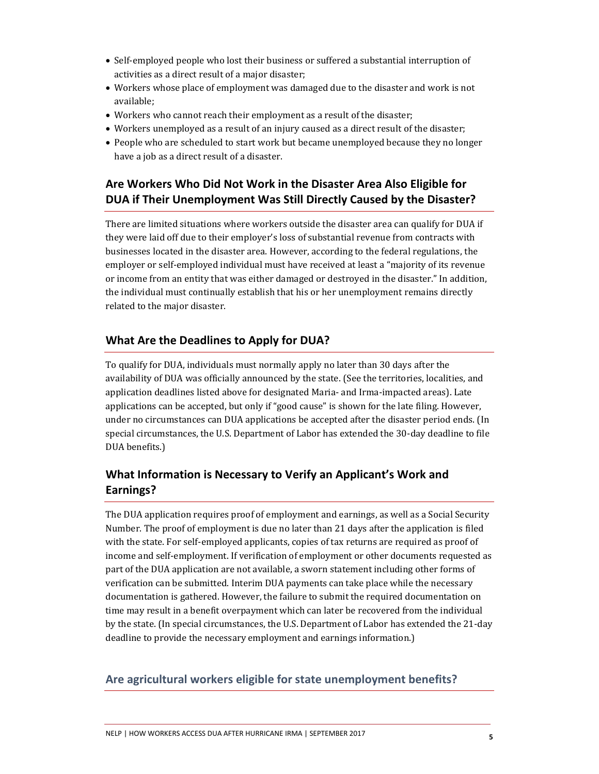- Self-employed people who lost their business or suffered a substantial interruption of activities as a direct result of a major disaster;
- Workers whose place of employment was damaged due to the disaster and work is not available;
- Workers who cannot reach their employment as a result of the disaster;
- Workers unemployed as a result of an injury caused as a direct result of the disaster;
- People who are scheduled to start work but became unemployed because they no longer have a job as a direct result of a disaster.

# **Are Workers Who Did Not Work in the Disaster Area Also Eligible for DUA if Their Unemployment Was Still Directly Caused by the Disaster?**

There are limited situations where workers outside the disaster area can qualify for DUA if they were laid off due to their employer's loss of substantial revenue from contracts with businesses located in the disaster area. However, according to the federal regulations, the employer or self-employed individual must have received at least a "majority of its revenue or income from an entity that was either damaged or destroyed in the disaster." In addition, the individual must continually establish that his or her unemployment remains directly related to the major disaster.

## **What Are the Deadlines to Apply for DUA?**

To qualify for DUA, individuals must normally apply no later than 30 days after the availability of DUA was officially announced by the state. (See the territories, localities, and application deadlines listed above for designated Maria- and Irma-impacted areas). Late applications can be accepted, but only if "good cause" is shown for the late filing. However, under no circumstances can DUA applications be accepted after the disaster period ends. (In special circumstances, the U.S. Department of Labor has extended the 30-day deadline to file DUA benefits.)

# **What Information is Necessary to Verify an Applicant's Work and Earnings?**

The DUA application requires proof of employment and earnings, as well as a Social Security Number. The proof of employment is due no later than 21 days after the application is filed with the state. For self-employed applicants, copies of tax returns are required as proof of income and self-employment. If verification of employment or other documents requested as part of the DUA application are not available, a sworn statement including other forms of verification can be submitted. Interim DUA payments can take place while the necessary documentation is gathered. However, the failure to submit the required documentation on time may result in a benefit overpayment which can later be recovered from the individual by the state. (In special circumstances, the U.S. Department of Labor has extended the 21-day deadline to provide the necessary employment and earnings information.)

## **Are agricultural workers eligible for state unemployment benefits?**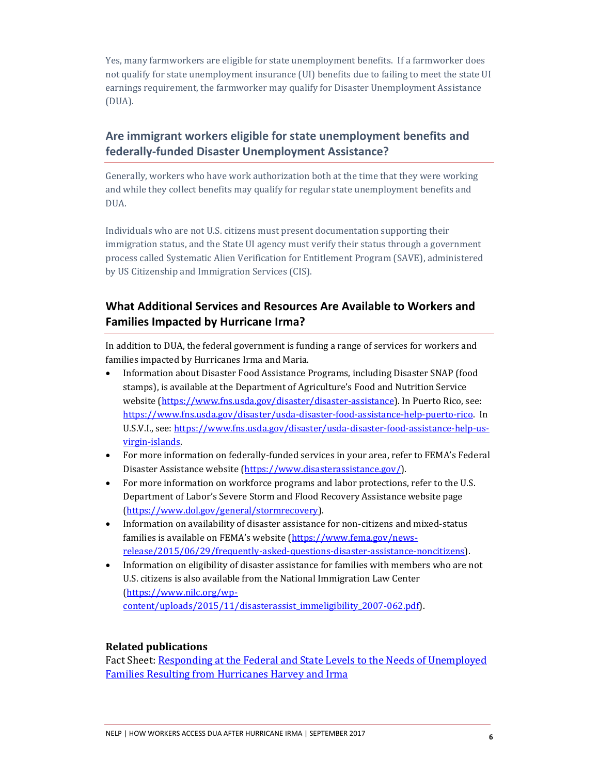Yes, many farmworkers are eligible for state unemployment benefits. If a farmworker does not qualify for state unemployment insurance (UI) benefits due to failing to meet the state UI earnings requirement, the farmworker may qualify for Disaster Unemployment Assistance (DUA).

# **Are immigrant workers eligible for state unemployment benefits and federally-funded Disaster Unemployment Assistance?**

Generally, workers who have work authorization both at the time that they were working and while they collect benefits may qualify for regular state unemployment benefits and DUA.

Individuals who are not U.S. citizens must present documentation supporting their immigration status, and the State UI agency must verify their status through a government process called Systematic Alien Verification for Entitlement Program (SAVE), administered by US Citizenship and Immigration Services (CIS).

# **What Additional Services and Resources Are Available to Workers and Families Impacted by Hurricane Irma?**

In addition to DUA, the federal government is funding a range of services for workers and families impacted by Hurricanes Irma and Maria.

- Information about Disaster Food Assistance Programs, including Disaster SNAP (food stamps), is available at the Department of Agriculture's Food and Nutrition Service website [\(https://www.fns.usda.gov/disaster/disaster-assistance\)](https://www.fns.usda.gov/disaster/disaster-assistance). In Puerto Rico, see: [https://www.fns.usda.gov/disaster/usda-disaster-food-assistance-help-puerto-rico.](https://www.fns.usda.gov/disaster/usda-disaster-food-assistance-help-puerto-rico) In U.S.V.I., see: [https://www.fns.usda.gov/disaster/usda-disaster-food-assistance-help-us](https://www.fns.usda.gov/disaster/usda-disaster-food-assistance-help-us-virgin-islands)[virgin-islands.](https://www.fns.usda.gov/disaster/usda-disaster-food-assistance-help-us-virgin-islands)
- For more information on federally-funded services in your area, refer to FEMA's Federal Disaster Assistance website [\(https://www.disasterassistance.gov/\)](https://www.disasterassistance.gov/).
- For more information on workforce programs and labor protections, refer to the U.S. Department of Labor's Severe Storm and Flood Recovery Assistance website page [\(https://www.dol.gov/general/stormrecovery\)](https://www.dol.gov/general/stormrecovery).
- Information on availability of disaster assistance for non-citizens and mixed-status families is available on FEMA's website ([https://www.fema.gov/news](https://www.fema.gov/news-release/2015/06/29/frequently-asked-questions-disaster-assistance-noncitizens)[release/2015/06/29/frequently-asked-questions-disaster-assistance-noncitizens\)](https://www.fema.gov/news-release/2015/06/29/frequently-asked-questions-disaster-assistance-noncitizens).
- Information on eligibility of disaster assistance for families with members who are not U.S. citizens is also available from the National Immigration Law Center [\(https://www.nilc.org/wp](https://www.nilc.org/wp-content/uploads/2015/11/disasterassist_immeligibility_2007-062.pdf)[content/uploads/2015/11/disasterassist\\_immeligibility\\_2007-062.pdf\)](https://www.nilc.org/wp-content/uploads/2015/11/disasterassist_immeligibility_2007-062.pdf).

#### **Related publications**

Fact Sheet: Responding at the Federal and State Levels to the Needs of Unemployed [Families Resulting from Hurricanes Harvey and Irma](http://www.nelp.org/publication/responding-at-the-federal-and-state-levels-to-the-needs-of-unemployed-families-resulting-from-hurricanes-harvey-and-irma/)